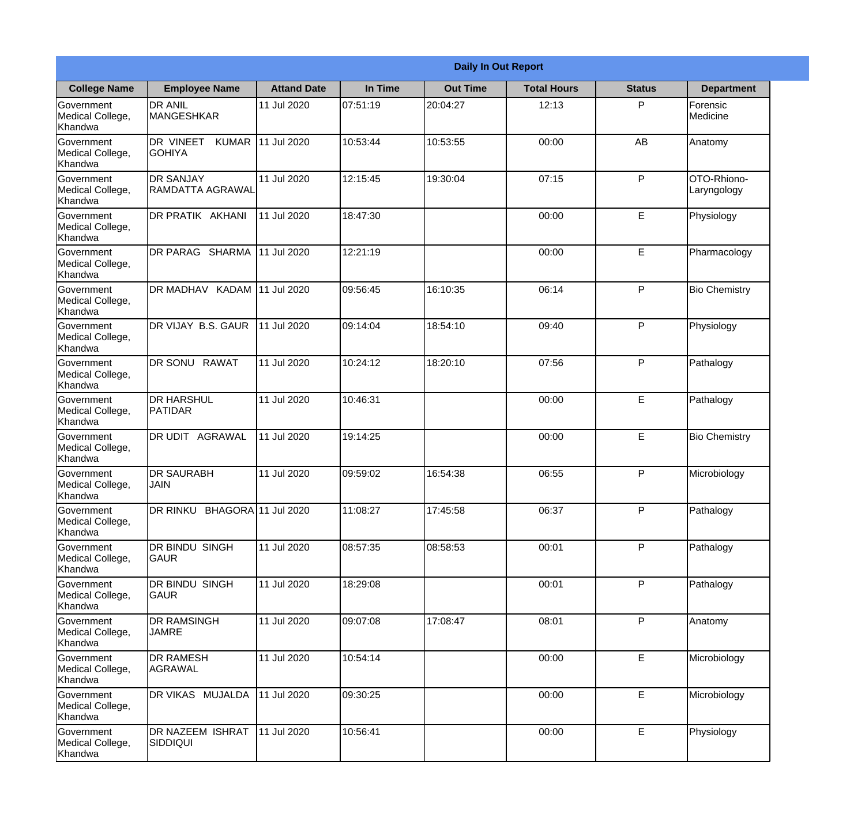|                                                  |                                            |                    |          | <b>Daily In Out Report</b> |                    |               |                            |
|--------------------------------------------------|--------------------------------------------|--------------------|----------|----------------------------|--------------------|---------------|----------------------------|
| <b>College Name</b>                              | <b>Employee Name</b>                       | <b>Attand Date</b> | In Time  | <b>Out Time</b>            | <b>Total Hours</b> | <b>Status</b> | <b>Department</b>          |
| Government<br>Medical College,<br>Khandwa        | <b>DR ANIL</b><br>MANGESHKAR               | 11 Jul 2020        | 07:51:19 | 20:04:27                   | 12:13              | P             | Forensic<br>Medicine       |
| Government<br>Medical College,<br>Khandwa        | DR VINEET<br><b>KUMAR</b><br><b>GOHIYA</b> | 11 Jul 2020        | 10:53:44 | 10:53:55                   | 00:00              | AB            | Anatomy                    |
| <b>Government</b><br>Medical College,<br>Khandwa | <b>DR SANJAY</b><br>RAMDATTA AGRAWAL       | 11 Jul 2020        | 12:15:45 | 19:30:04                   | 07:15              | P             | OTO-Rhiono-<br>Laryngology |
| Government<br>Medical College,<br>Khandwa        | DR PRATIK AKHANI                           | 11 Jul 2020        | 18:47:30 |                            | 00:00              | E             | Physiology                 |
| Government<br>Medical College,<br>Khandwa        | <b>DR PARAG SHARMA</b>                     | 11 Jul 2020        | 12:21:19 |                            | 00:00              | E             | Pharmacology               |
| Government<br>Medical College,<br>Khandwa        | DR MADHAV KADAM                            | 11 Jul 2020        | 09:56:45 | 16:10:35                   | 06:14              | P             | <b>Bio Chemistry</b>       |
| Government<br>Medical College,<br>Khandwa        | DR VIJAY B.S. GAUR                         | 11 Jul 2020        | 09:14:04 | 18:54:10                   | 09:40              | P             | Physiology                 |
| Government<br>Medical College,<br>Khandwa        | DR SONU RAWAT                              | 11 Jul 2020        | 10:24:12 | 18:20:10                   | 07:56              | P             | Pathalogy                  |
| Government<br>Medical College,<br>Khandwa        | <b>DR HARSHUL</b><br>PATIDAR               | 11 Jul 2020        | 10:46:31 |                            | 00:00              | E             | Pathalogy                  |
| Government<br>Medical College,<br>Khandwa        | DR UDIT<br><b>AGRAWAL</b>                  | 11 Jul 2020        | 19:14:25 |                            | 00:00              | E             | <b>Bio Chemistry</b>       |
| Government<br>Medical College,<br>Khandwa        | <b>IDR SAURABH</b><br><b>JAIN</b>          | 11 Jul 2020        | 09:59:02 | 16:54:38                   | 06:55              | P             | Microbiology               |
| Government<br>Medical College,<br>Khandwa        | DR RINKU BHAGORA 11 Jul 2020               |                    | 11:08:27 | 17:45:58                   | 06:37              | P             | Pathalogy                  |
| Government<br>Medical College,<br>Khandwa        | DR BINDU SINGH<br><b>GAUR</b>              | 11 Jul 2020        | 08:57:35 | 08:58:53                   | 00:01              | P             | Pathalogy                  |
| Government<br>Medical College,<br>Khandwa        | DR BINDU SINGH<br> GAUR                    | 11 Jul 2020        | 18:29:08 |                            | 00:01              | P             | Pathalogy                  |
| Government<br>Medical College,<br>Khandwa        | <b>DR RAMSINGH</b><br><b>JAMRE</b>         | 11 Jul 2020        | 09:07:08 | 17:08:47                   | 08:01              | P             | Anatomy                    |
| Government<br>Medical College,<br>Khandwa        | <b>DR RAMESH</b><br>AGRAWAL                | 11 Jul 2020        | 10:54:14 |                            | 00:00              | E             | Microbiology               |
| Government<br>Medical College,<br>Khandwa        | <b>DR VIKAS MUJALDA</b>                    | 11 Jul 2020        | 09:30:25 |                            | 00:00              | E             | Microbiology               |
| Government<br>Medical College,<br>Khandwa        | DR NAZEEM ISHRAT<br>SIDDIQUI               | 11 Jul 2020        | 10:56:41 |                            | 00:00              | $\mathsf E$   | Physiology                 |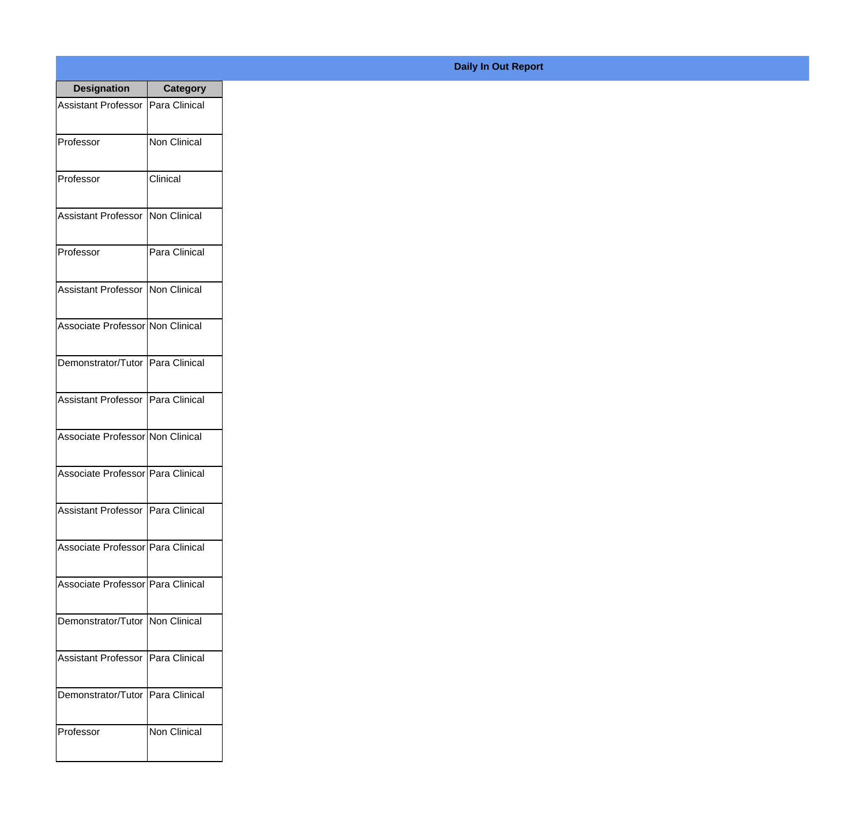| <b>Designation</b>                  | <b>Category</b>     |
|-------------------------------------|---------------------|
| Assistant Professor   Para Clinical |                     |
| Professor                           | <b>Non Clinical</b> |
| Professor                           | Clinical            |
| <b>Assistant Professor</b>          | Non Clinical        |
| Professor                           | Para Clinical       |
| Assistant Professor   Non Clinical  |                     |
| Associate Professor Non Clinical    |                     |
| Demonstrator/Tutor   Para Clinical  |                     |
| Assistant Professor   Para Clinical |                     |
| Associate Professor Non Clinical    |                     |
| Associate Professor Para Clinical   |                     |
| Assistant Professor   Para Clinical |                     |
| Associate Professor Para Clinical   |                     |
| Associate Professor   Para Clinical |                     |
| Demonstrator/Tutor   Non Clinical   |                     |
| <b>Assistant Professor</b>          | Para Clinical       |
| Demonstrator/Tutor   Para Clinical  |                     |
| Professor                           | <b>Non Clinical</b> |

## **Daily In Out Report**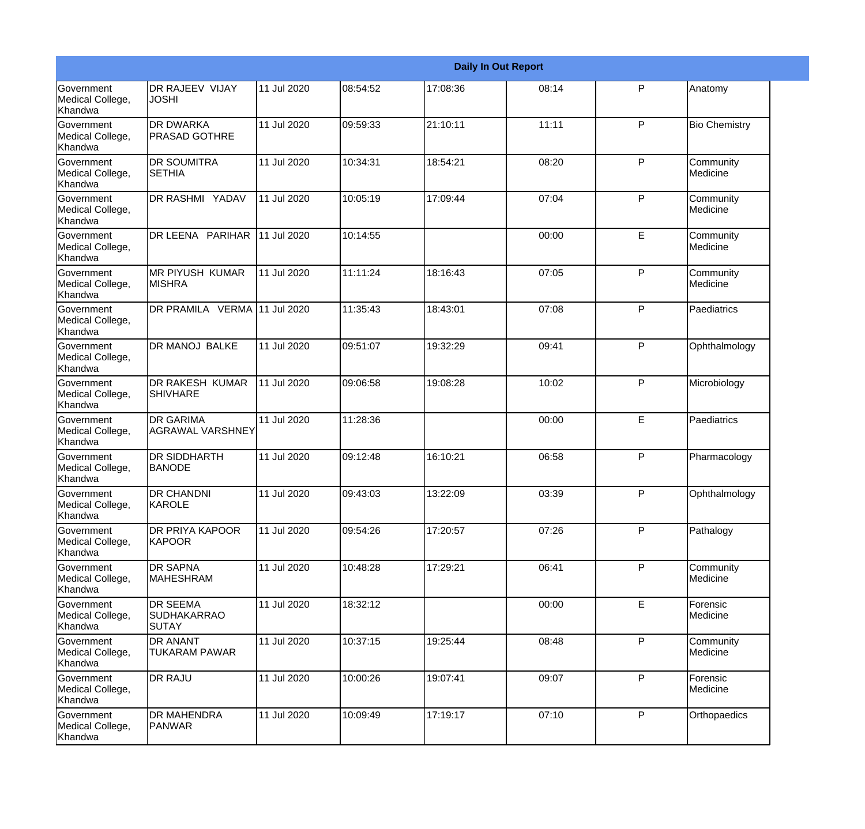|                                                  |                                                       |             |          |          | <b>Daily In Out Report</b> |              |                       |
|--------------------------------------------------|-------------------------------------------------------|-------------|----------|----------|----------------------------|--------------|-----------------------|
| <b>Government</b><br>Medical College,<br>Khandwa | DR RAJEEV VIJAY<br><b>JOSHI</b>                       | 11 Jul 2020 | 08:54:52 | 17:08:36 | 08:14                      | P            | Anatomy               |
| Government<br>Medical College,<br>Khandwa        | DR DWARKA<br><b>PRASAD GOTHRE</b>                     | 11 Jul 2020 | 09:59:33 | 21:10:11 | 11:11                      | $\mathsf{P}$ | <b>Bio Chemistry</b>  |
| <b>Government</b><br>Medical College,<br>Khandwa | <b>DR SOUMITRA</b><br><b>SETHIA</b>                   | 11 Jul 2020 | 10:34:31 | 18:54:21 | 08:20                      | $\mathsf{P}$ | Community<br>Medicine |
| <b>Government</b><br>Medical College,<br>Khandwa | DR RASHMI YADAV                                       | 11 Jul 2020 | 10:05:19 | 17:09:44 | 07:04                      | $\mathsf{P}$ | Community<br>Medicine |
| <b>Government</b><br>Medical College,<br>Khandwa | DR LEENA PARIHAR                                      | 11 Jul 2020 | 10:14:55 |          | 00:00                      | E            | Community<br>Medicine |
| Government<br>Medical College,<br>Khandwa        | <b>MR PIYUSH KUMAR</b><br><b>MISHRA</b>               | 11 Jul 2020 | 11:11:24 | 18:16:43 | 07:05                      | $\mathsf{P}$ | Community<br>Medicine |
| <b>Government</b><br>Medical College,<br>Khandwa | DR PRAMILA VERMA 11 Jul 2020                          |             | 11:35:43 | 18:43:01 | 07:08                      | $\mathsf{P}$ | Paediatrics           |
| <b>Government</b><br>Medical College,<br>Khandwa | DR MANOJ BALKE                                        | 11 Jul 2020 | 09:51:07 | 19:32:29 | 09:41                      | ${\sf P}$    | Ophthalmology         |
| Government<br>Medical College,<br>Khandwa        | DR RAKESH KUMAR<br><b>SHIVHARE</b>                    | 11 Jul 2020 | 09:06:58 | 19:08:28 | 10:02                      | P            | Microbiology          |
| <b>Government</b><br>Medical College,<br>Khandwa | <b>DR GARIMA</b><br>AGRAWAL VARSHNEY                  | 11 Jul 2020 | 11:28:36 |          | 00:00                      | E            | Paediatrics           |
| <b>Government</b><br>Medical College,<br>Khandwa | <b>DR SIDDHARTH</b><br><b>BANODE</b>                  | 11 Jul 2020 | 09:12:48 | 16:10:21 | 06:58                      | P            | Pharmacology          |
| Government<br>Medical College,<br>Khandwa        | <b>DR CHANDNI</b><br>KAROLE                           | 11 Jul 2020 | 09:43:03 | 13:22:09 | 03:39                      | P            | Ophthalmology         |
| Government<br>Medical College,<br>Khandwa        | DR PRIYA KAPOOR<br><b>KAPOOR</b>                      | 11 Jul 2020 | 09:54:26 | 17:20:57 | 07:26                      | P            | Pathalogy             |
| <b>Government</b><br>Medical College,<br>Khandwa | DR SAPNA<br><b>MAHESHRAM</b>                          | 11 Jul 2020 | 10:48:28 | 17:29:21 | 06:41                      | P            | Community<br>Medicine |
| Government<br>Medical College,<br>Khandwa        | <b>DR SEEMA</b><br><b>SUDHAKARRAO</b><br><b>SUTAY</b> | 11 Jul 2020 | 18:32:12 |          | 00:00                      | E            | Forensic<br>Medicine  |
| Government<br>Medical College,<br>Khandwa        | DR ANANT<br><b>TUKARAM PAWAR</b>                      | 11 Jul 2020 | 10:37:15 | 19:25:44 | 08:48                      | P            | Community<br>Medicine |
| Government<br>Medical College,<br>Khandwa        | DR RAJU                                               | 11 Jul 2020 | 10:00:26 | 19:07:41 | 09:07                      | P            | Forensic<br>Medicine  |
| Government<br>Medical College,<br>Khandwa        | DR MAHENDRA<br><b>PANWAR</b>                          | 11 Jul 2020 | 10:09:49 | 17:19:17 | 07:10                      | P            | Orthopaedics          |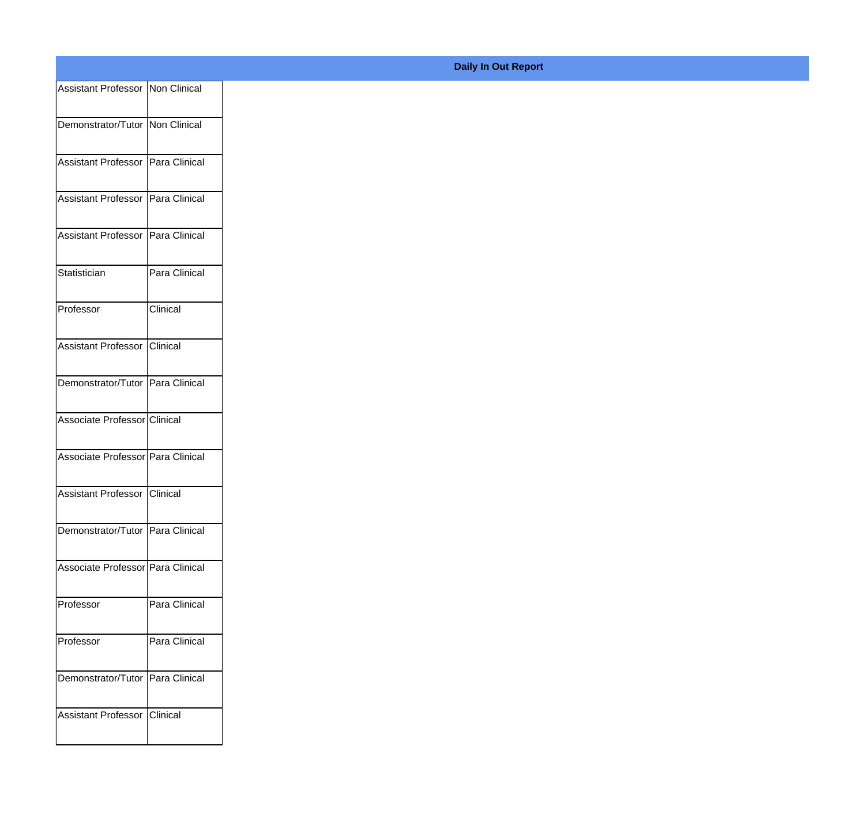| Assistant Professor   Non Clinical  |               |
|-------------------------------------|---------------|
|                                     |               |
| Demonstrator/Tutor Non Clinical     |               |
| Assistant Professor Para Clinical   |               |
|                                     |               |
| Assistant Professor Para Clinical   |               |
| Assistant Professor   Para Clinical |               |
|                                     |               |
| Statistician                        | Para Clinical |
| Professor                           | Clinical      |
|                                     |               |
| Assistant Professor Clinical        |               |
|                                     |               |
| Demonstrator/Tutor Para Clinical    |               |
| Associate Professor Clinical        |               |
|                                     |               |
| Associate Professor Para Clinical   |               |
| Assistant Professor Clinical        |               |
|                                     |               |
| Demonstrator/Tutor Para Clinical    |               |
| Associate Professor Para Clinical   |               |
|                                     |               |
| Professor                           | Para Clinical |
| Professor                           | Para Clinical |
|                                     |               |
| Demonstrator/Tutor Para Clinical    |               |
|                                     |               |
| Assistant Professor Clinical        |               |
|                                     |               |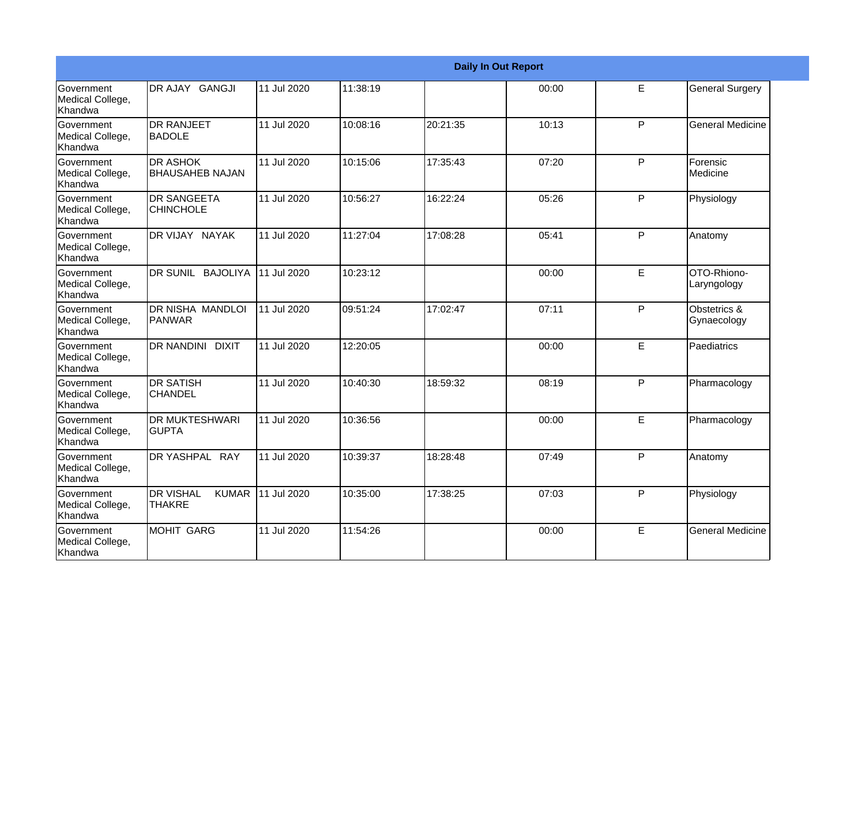|                                           |                                                   |             |          |          | <b>Daily In Out Report</b> |              |                             |
|-------------------------------------------|---------------------------------------------------|-------------|----------|----------|----------------------------|--------------|-----------------------------|
| Government<br>Medical College,<br>Khandwa | DR AJAY GANGJI                                    | 11 Jul 2020 | 11:38:19 |          | 00:00                      | E            | <b>General Surgery</b>      |
| Government<br>Medical College,<br>Khandwa | <b>DR RANJEET</b><br>IBADOLE                      | 11 Jul 2020 | 10:08:16 | 20:21:35 | 10:13                      | P            | <b>General Medicine</b>     |
| Government<br>Medical College,<br>Khandwa | <b>DR ASHOK</b><br><b>BHAUSAHEB NAJAN</b>         | 11 Jul 2020 | 10:15:06 | 17:35:43 | 07:20                      | P            | Forensic<br>Medicine        |
| Government<br>Medical College,<br>Khandwa | <b>DR SANGEETA</b><br><b>CHINCHOLE</b>            | 11 Jul 2020 | 10:56:27 | 16:22:24 | 05:26                      | P            | Physiology                  |
| Government<br>Medical College,<br>Khandwa | DR VIJAY NAYAK                                    | 11 Jul 2020 | 11:27:04 | 17:08:28 | 05:41                      | $\mathsf{P}$ | Anatomy                     |
| Government<br>Medical College,<br>Khandwa | DR SUNIL BAJOLIYA                                 | 11 Jul 2020 | 10:23:12 |          | 00:00                      | E            | OTO-Rhiono-<br>Laryngology  |
| Government<br>Medical College,<br>Khandwa | DR NISHA MANDLOI<br><b>PANWAR</b>                 | 11 Jul 2020 | 09:51:24 | 17:02:47 | 07:11                      | $\mathsf{P}$ | Obstetrics &<br>Gynaecology |
| Government<br>Medical College,<br>Khandwa | <b>DR NANDINI DIXIT</b>                           | 11 Jul 2020 | 12:20:05 |          | 00:00                      | E            | Paediatrics                 |
| Government<br>Medical College,<br>Khandwa | IDR SATISH<br><b>CHANDEL</b>                      | 11 Jul 2020 | 10:40:30 | 18:59:32 | 08:19                      | P            | Pharmacology                |
| Government<br>Medical College,<br>Khandwa | <b>DR MUKTESHWARI</b><br><b>GUPTA</b>             | 11 Jul 2020 | 10:36:56 |          | 00:00                      | E            | Pharmacology                |
| Government<br>Medical College,<br>Khandwa | DR YASHPAL RAY                                    | 11 Jul 2020 | 10:39:37 | 18:28:48 | 07:49                      | P            | Anatomy                     |
| Government<br>Medical College,<br>Khandwa | <b>DR VISHAL</b><br><b>KUMAR</b><br><b>THAKRE</b> | 11 Jul 2020 | 10:35:00 | 17:38:25 | 07:03                      | P            | Physiology                  |
| Government<br>Medical College,<br>Khandwa | Imohit Garg                                       | 11 Jul 2020 | 11:54:26 |          | 00:00                      | E            | <b>General Medicine</b>     |